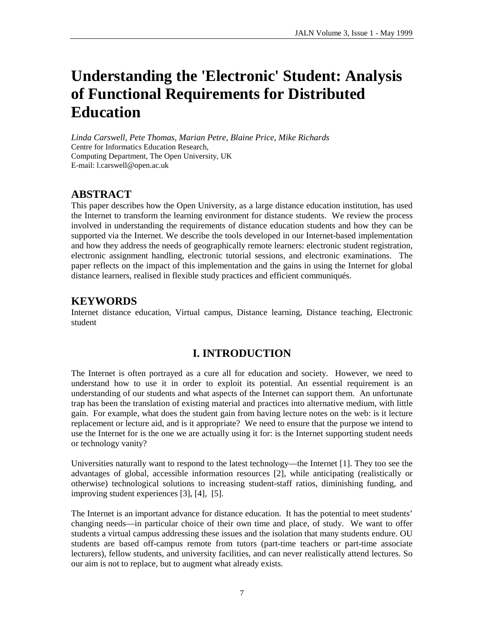# **Understanding the 'Electronic' Student: Analysis of Functional Requirements for Distributed Education**

*Linda Carswell, Pete Thomas, Marian Petre, Blaine Price, Mike Richards* Centre for Informatics Education Research, Computing Department, The Open University, UK E-mail: l.carswell@open.ac.uk

# **ABSTRACT**

This paper describes how the Open University, as a large distance education institution, has used the Internet to transform the learning environment for distance students. We review the process involved in understanding the requirements of distance education students and how they can be supported via the Internet. We describe the tools developed in our Internet-based implementation and how they address the needs of geographically remote learners: electronic student registration, electronic assignment handling, electronic tutorial sessions, and electronic examinations. The paper reflects on the impact of this implementation and the gains in using the Internet for global distance learners, realised in flexible study practices and efficient communiqués.

# **KEYWORDS**

Internet distance education, Virtual campus, Distance learning, Distance teaching, Electronic student

# **I. INTRODUCTION**

The Internet is often portrayed as a cure all for education and society. However, we need to understand how to use it in order to exploit its potential. An essential requirement is an understanding of our students and what aspects of the Internet can support them. An unfortunate trap has been the translation of existing material and practices into alternative medium, with little gain. For example, what does the student gain from having lecture notes on the web: is it lecture replacement or lecture aid, and is it appropriate? We need to ensure that the purpose we intend to use the Internet for is the one we are actually using it for: is the Internet supporting student needs or technology vanity?

Universities naturally want to respond to the latest technology— the Internet [1]. They too see the advantages of global, accessible information resources [2], while anticipating (realistically or otherwise) technological solutions to increasing student-staff ratios, diminishing funding, and improving student experiences [3], [4], [5].

The Internet is an important advance for distance education. It has the potential to meet students' changing needs— in particular choice of their own time and place, of study. We want to offer students a virtual campus addressing these issues and the isolation that many students endure. OU students are based off-campus remote from tutors (part-time teachers or part-time associate lecturers), fellow students, and university facilities, and can never realistically attend lectures. So our aim is not to replace, but to augment what already exists.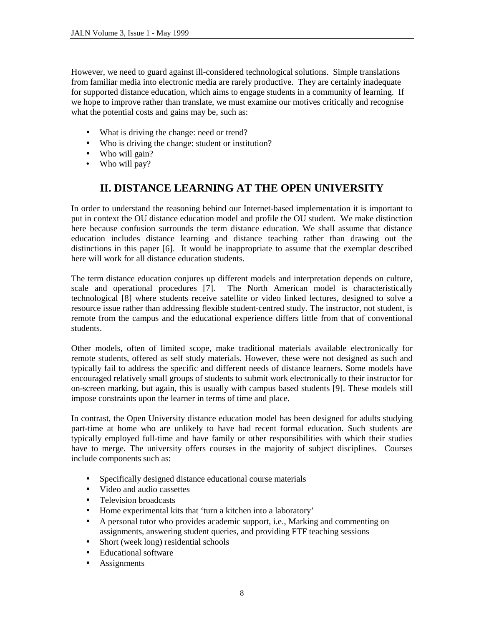However, we need to guard against ill-considered technological solutions. Simple translations from familiar media into electronic media are rarely productive. They are certainly inadequate for supported distance education, which aims to engage students in a community of learning. If we hope to improve rather than translate, we must examine our motives critically and recognise what the potential costs and gains may be, such as:

- What is driving the change: need or trend?
- Who is driving the change: student or institution?
- Who will gain?
- Who will pay?

# **II. DISTANCE LEARNING AT THE OPEN UNIVERSITY**

In order to understand the reasoning behind our Internet-based implementation it is important to put in context the OU distance education model and profile the OU student. We make distinction here because confusion surrounds the term distance education. We shall assume that distance education includes distance learning and distance teaching rather than drawing out the distinctions in this paper [6]. It would be inappropriate to assume that the exemplar described here will work for all distance education students.

The term distance education conjures up different models and interpretation depends on culture, scale and operational procedures [7]. The North American model is characteristically technological [8] where students receive satellite or video linked lectures, designed to solve a resource issue rather than addressing flexible student-centred study. The instructor, not student, is remote from the campus and the educational experience differs little from that of conventional students.

Other models, often of limited scope, make traditional materials available electronically for remote students, offered as self study materials. However, these were not designed as such and typically fail to address the specific and different needs of distance learners. Some models have encouraged relatively small groups of students to submit work electronically to their instructor for on-screen marking, but again, this is usually with campus based students [9]. These models still impose constraints upon the learner in terms of time and place.

In contrast, the Open University distance education model has been designed for adults studying part-time at home who are unlikely to have had recent formal education. Such students are typically employed full-time and have family or other responsibilities with which their studies have to merge. The university offers courses in the majority of subject disciplines. Courses include components such as:

- Specifically designed distance educational course materials
- Video and audio cassettes
- Television broadcasts
- Home experimental kits that 'turn a kitchen into a laboratory'
- A personal tutor who provides academic support, i.e., Marking and commenting on assignments, answering student queries, and providing FTF teaching sessions
- Short (week long) residential schools
- Educational software
- **Assignments**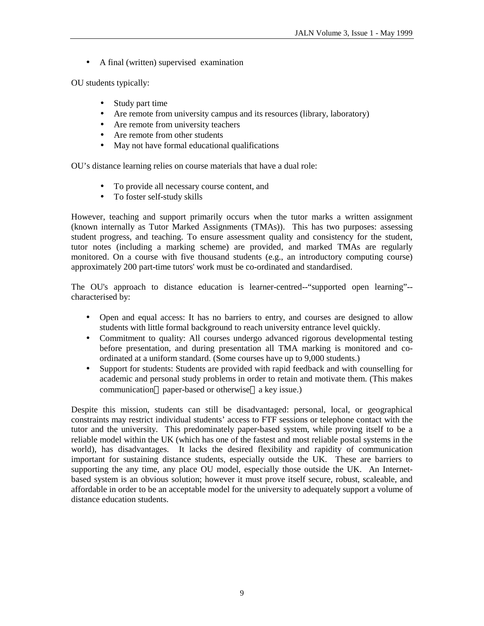• A final (written) supervised examination

OU students typically:

- Study part time
- Are remote from university campus and its resources (library, laboratory)
- Are remote from university teachers
- Are remote from other students
- May not have formal educational qualifications

OU's distance learning relies on course materials that have a dual role:

- To provide all necessary course content, and
- To foster self-study skills

However, teaching and support primarily occurs when the tutor marks a written assignment (known internally as Tutor Marked Assignments (TMAs)). This has two purposes: assessing student progress, and teaching. To ensure assessment quality and consistency for the student, tutor notes (including a marking scheme) are provided, and marked TMAs are regularly monitored. On a course with five thousand students (e.g., an introductory computing course) approximately 200 part-time tutors' work must be co-ordinated and standardised.

The OU's approach to distance education is learner-centred--"supported open learning"- characterised by:

- Open and equal access: It has no barriers to entry, and courses are designed to allow students with little formal background to reach university entrance level quickly.
- Commitment to quality: All courses undergo advanced rigorous developmental testing before presentation, and during presentation all TMA marking is monitored and coordinated at a uniform standard. (Some courses have up to 9,000 students.)
- Support for students: Students are provided with rapid feedback and with counselling for academic and personal study problems in order to retain and motivate them. (This makes communication—paper-based or otherwise—a key issue.)

Despite this mission, students can still be disadvantaged: personal, local, or geographical constraints may restrict individual students' access to FTF sessions or telephone contact with the tutor and the university. This predominately paper-based system, while proving itself to be a reliable model within the UK (which has one of the fastest and most reliable postal systems in the world), has disadvantages. It lacks the desired flexibility and rapidity of communication important for sustaining distance students, especially outside the UK. These are barriers to supporting the any time, any place OU model, especially those outside the UK. An Internetbased system is an obvious solution; however it must prove itself secure, robust, scaleable, and affordable in order to be an acceptable model for the university to adequately support a volume of distance education students.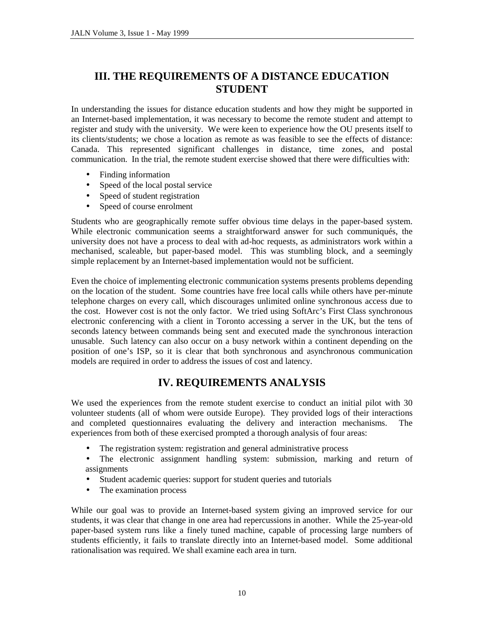# **III. THE REQUIREMENTS OF A DISTANCE EDUCATION STUDENT**

In understanding the issues for distance education students and how they might be supported in an Internet-based implementation, it was necessary to become the remote student and attempt to register and study with the university. We were keen to experience how the OU presents itself to its clients/students; we chose a location as remote as was feasible to see the effects of distance: Canada. This represented significant challenges in distance, time zones, and postal communication. In the trial, the remote student exercise showed that there were difficulties with:

- Finding information
- Speed of the local postal service
- Speed of student registration
- Speed of course enrolment

Students who are geographically remote suffer obvious time delays in the paper-based system. While electronic communication seems a straightforward answer for such communiqués, the university does not have a process to deal with ad-hoc requests, as administrators work within a mechanised, scaleable, but paper-based model. This was stumbling block, and a seemingly simple replacement by an Internet-based implementation would not be sufficient.

Even the choice of implementing electronic communication systems presents problems depending on the location of the student. Some countries have free local calls while others have per-minute telephone charges on every call, which discourages unlimited online synchronous access due to the cost. However cost is not the only factor. We tried using SoftArc's First Class synchronous electronic conferencing with a client in Toronto accessing a server in the UK, but the tens of seconds latency between commands being sent and executed made the synchronous interaction unusable. Such latency can also occur on a busy network within a continent depending on the position of one's ISP, so it is clear that both synchronous and asynchronous communication models are required in order to address the issues of cost and latency.

# **IV. REQUIREMENTS ANALYSIS**

We used the experiences from the remote student exercise to conduct an initial pilot with 30 volunteer students (all of whom were outside Europe). They provided logs of their interactions and completed questionnaires evaluating the delivery and interaction mechanisms. The experiences from both of these exercised prompted a thorough analysis of four areas:

- The registration system: registration and general administrative process
- The electronic assignment handling system: submission, marking and return of assignments
- Student academic queries: support for student queries and tutorials
- The examination process

While our goal was to provide an Internet-based system giving an improved service for our students, it was clear that change in one area had repercussions in another. While the 25-year-old paper-based system runs like a finely tuned machine, capable of processing large numbers of students efficiently, it fails to translate directly into an Internet-based model. Some additional rationalisation was required. We shall examine each area in turn.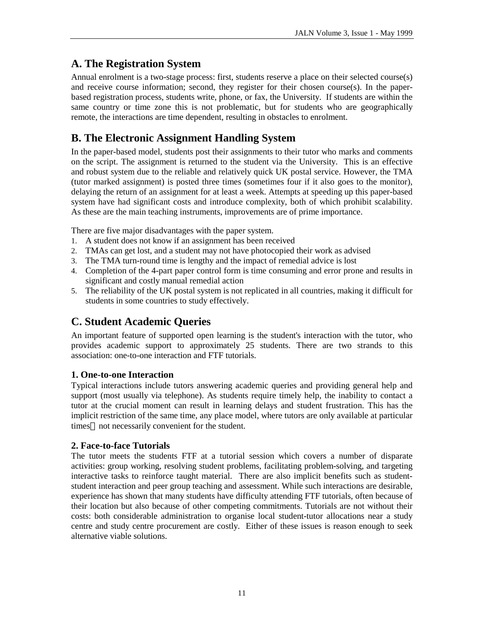# **A. The Registration System**

Annual enrolment is a two-stage process: first, students reserve a place on their selected course(s) and receive course information; second, they register for their chosen course(s). In the paperbased registration process, students write, phone, or fax, the University. If students are within the same country or time zone this is not problematic, but for students who are geographically remote, the interactions are time dependent, resulting in obstacles to enrolment.

# **B. The Electronic Assignment Handling System**

In the paper-based model, students post their assignments to their tutor who marks and comments on the script. The assignment is returned to the student via the University. This is an effective and robust system due to the reliable and relatively quick UK postal service. However, the TMA (tutor marked assignment) is posted three times (sometimes four if it also goes to the monitor), delaying the return of an assignment for at least a week. Attempts at speeding up this paper-based system have had significant costs and introduce complexity, both of which prohibit scalability. As these are the main teaching instruments, improvements are of prime importance.

There are five major disadvantages with the paper system.

- 1. A student does not know if an assignment has been received
- 2. TMAs can get lost, and a student may not have photocopied their work as advised
- 3. The TMA turn-round time is lengthy and the impact of remedial advice is lost
- 4. Completion of the 4-part paper control form is time consuming and error prone and results in significant and costly manual remedial action
- 5. The reliability of the UK postal system is not replicated in all countries, making it difficult for students in some countries to study effectively.

# **C. Student Academic Queries**

An important feature of supported open learning is the student's interaction with the tutor, who provides academic support to approximately 25 students. There are two strands to this association: one-to-one interaction and FTF tutorials.

#### **1. One-to-one Interaction**

Typical interactions include tutors answering academic queries and providing general help and support (most usually via telephone). As students require timely help, the inability to contact a tutor at the crucial moment can result in learning delays and student frustration. This has the implicit restriction of the same time, any place model, where tutors are only available at particular times—not necessarily convenient for the student.

#### **2. Face-to-face Tutorials**

The tutor meets the students FTF at a tutorial session which covers a number of disparate activities: group working, resolving student problems, facilitating problem-solving, and targeting interactive tasks to reinforce taught material. There are also implicit benefits such as studentstudent interaction and peer group teaching and assessment. While such interactions are desirable, experience has shown that many students have difficulty attending FTF tutorials, often because of their location but also because of other competing commitments. Tutorials are not without their costs: both considerable administration to organise local student-tutor allocations near a study centre and study centre procurement are costly. Either of these issues is reason enough to seek alternative viable solutions.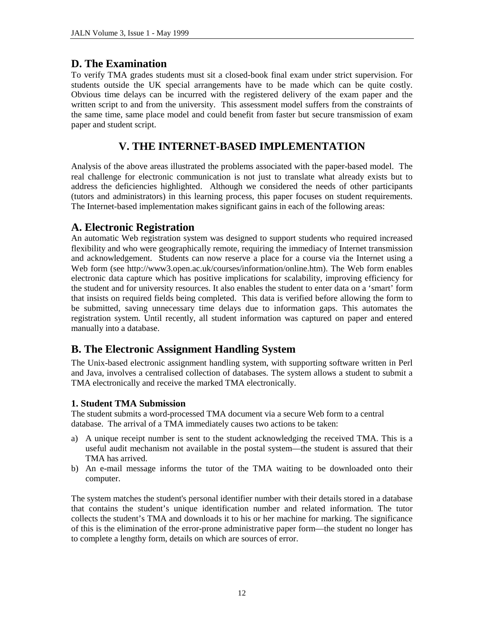### **D. The Examination**

To verify TMA grades students must sit a closed-book final exam under strict supervision. For students outside the UK special arrangements have to be made which can be quite costly. Obvious time delays can be incurred with the registered delivery of the exam paper and the written script to and from the university. This assessment model suffers from the constraints of the same time, same place model and could benefit from faster but secure transmission of exam paper and student script.

# **V. THE INTERNET-BASED IMPLEMENTATION**

Analysis of the above areas illustrated the problems associated with the paper-based model. The real challenge for electronic communication is not just to translate what already exists but to address the deficiencies highlighted. Although we considered the needs of other participants (tutors and administrators) in this learning process, this paper focuses on student requirements. The Internet-based implementation makes significant gains in each of the following areas:

# **A. Electronic Registration**

An automatic Web registration system was designed to support students who required increased flexibility and who were geographically remote, requiring the immediacy of Internet transmission and acknowledgement. Students can now reserve a place for a course via the Internet using a Web form (see http://www3.open.ac.uk/courses/information/online.htm). The Web form enables electronic data capture which has positive implications for scalability, improving efficiency for the student and for university resources. It also enables the student to enter data on a 'smart' form that insists on required fields being completed. This data is verified before allowing the form to be submitted, saving unnecessary time delays due to information gaps. This automates the registration system. Until recently, all student information was captured on paper and entered manually into a database.

# **B. The Electronic Assignment Handling System**

The Unix-based electronic assignment handling system, with supporting software written in Perl and Java, involves a centralised collection of databases. The system allows a student to submit a TMA electronically and receive the marked TMA electronically.

#### **1. Student TMA Submission**

The student submits a word-processed TMA document via a secure Web form to a central database. The arrival of a TMA immediately causes two actions to be taken:

- a) A unique receipt number is sent to the student acknowledging the received TMA. This is a useful audit mechanism not available in the postal system— the student is assured that their TMA has arrived.
- b) An e-mail message informs the tutor of the TMA waiting to be downloaded onto their computer.

The system matches the student's personal identifier number with their details stored in a database that contains the student's unique identification number and related information. The tutor collects the student's TMA and downloads it to his or her machine for marking. The significance of this is the elimination of the error-prone administrative paper form— the student no longer has to complete a lengthy form, details on which are sources of error.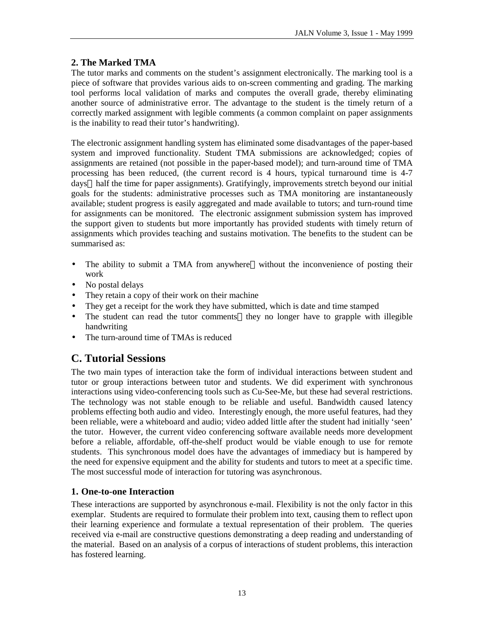#### **2. The Marked TMA**

The tutor marks and comments on the student's assignment electronically. The marking tool is a piece of software that provides various aids to on-screen commenting and grading. The marking tool performs local validation of marks and computes the overall grade, thereby eliminating another source of administrative error. The advantage to the student is the timely return of a correctly marked assignment with legible comments (a common complaint on paper assignments is the inability to read their tutor's handwriting).

The electronic assignment handling system has eliminated some disadvantages of the paper-based system and improved functionality. Student TMA submissions are acknowledged; copies of assignments are retained (not possible in the paper-based model); and turn-around time of TMA processing has been reduced, (the current record is 4 hours, typical turnaround time is 4-7 days—half the time for paper assignments). Gratifyingly, improvements stretch beyond our initial goals for the students: administrative processes such as TMA monitoring are instantaneously available; student progress is easily aggregated and made available to tutors; and turn-round time for assignments can be monitored. The electronic assignment submission system has improved the support given to students but more importantly has provided students with timely return of assignments which provides teaching and sustains motivation. The benefits to the student can be summarised as:

- The ability to submit a TMA from anywhere—without the inconvenience of posting their work
- No postal delays
- They retain a copy of their work on their machine
- They get a receipt for the work they have submitted, which is date and time stamped
- The student can read the tutor comments—they no longer have to grapple with illegible handwriting
- The turn-around time of TMAs is reduced

# **C. Tutorial Sessions**

The two main types of interaction take the form of individual interactions between student and tutor or group interactions between tutor and students. We did experiment with synchronous interactions using video-conferencing tools such as Cu-See-Me, but these had several restrictions. The technology was not stable enough to be reliable and useful. Bandwidth caused latency problems effecting both audio and video. Interestingly enough, the more useful features, had they been reliable, were a whiteboard and audio; video added little after the student had initially 'seen' the tutor. However, the current video conferencing software available needs more development before a reliable, affordable, off-the-shelf product would be viable enough to use for remote students. This synchronous model does have the advantages of immediacy but is hampered by the need for expensive equipment and the ability for students and tutors to meet at a specific time. The most successful mode of interaction for tutoring was asynchronous.

#### **1. One-to-one Interaction**

These interactions are supported by asynchronous e-mail. Flexibility is not the only factor in this exemplar. Students are required to formulate their problem into text, causing them to reflect upon their learning experience and formulate a textual representation of their problem. The queries received via e-mail are constructive questions demonstrating a deep reading and understanding of the material. Based on an analysis of a corpus of interactions of student problems, this interaction has fostered learning.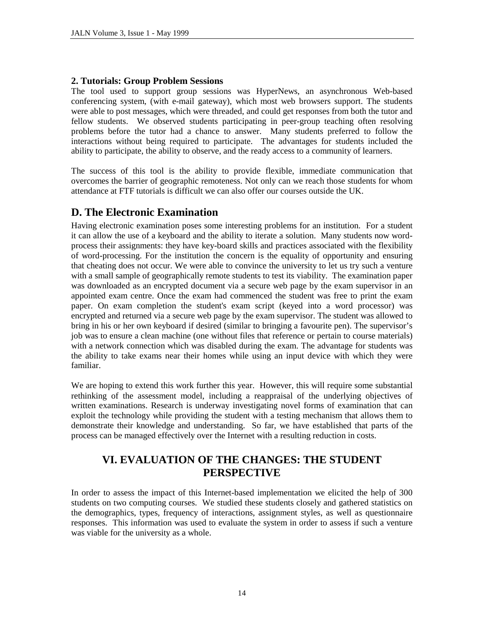#### **2. Tutorials: Group Problem Sessions**

The tool used to support group sessions was HyperNews, an asynchronous Web-based conferencing system, (with e-mail gateway), which most web browsers support. The students were able to post messages, which were threaded, and could get responses from both the tutor and fellow students. We observed students participating in peer-group teaching often resolving problems before the tutor had a chance to answer. Many students preferred to follow the interactions without being required to participate. The advantages for students included the ability to participate, the ability to observe, and the ready access to a community of learners.

The success of this tool is the ability to provide flexible, immediate communication that overcomes the barrier of geographic remoteness. Not only can we reach those students for whom attendance at FTF tutorials is difficult we can also offer our courses outside the UK.

# **D. The Electronic Examination**

Having electronic examination poses some interesting problems for an institution. For a student it can allow the use of a keyboard and the ability to iterate a solution. Many students now wordprocess their assignments: they have key-board skills and practices associated with the flexibility of word-processing. For the institution the concern is the equality of opportunity and ensuring that cheating does not occur. We were able to convince the university to let us try such a venture with a small sample of geographically remote students to test its viability. The examination paper was downloaded as an encrypted document via a secure web page by the exam supervisor in an appointed exam centre. Once the exam had commenced the student was free to print the exam paper. On exam completion the student's exam script (keyed into a word processor) was encrypted and returned via a secure web page by the exam supervisor. The student was allowed to bring in his or her own keyboard if desired (similar to bringing a favourite pen). The supervisor's job was to ensure a clean machine (one without files that reference or pertain to course materials) with a network connection which was disabled during the exam. The advantage for students was the ability to take exams near their homes while using an input device with which they were familiar.

We are hoping to extend this work further this year. However, this will require some substantial rethinking of the assessment model, including a reappraisal of the underlying objectives of written examinations. Research is underway investigating novel forms of examination that can exploit the technology while providing the student with a testing mechanism that allows them to demonstrate their knowledge and understanding. So far, we have established that parts of the process can be managed effectively over the Internet with a resulting reduction in costs.

# **VI. EVALUATION OF THE CHANGES: THE STUDENT PERSPECTIVE**

In order to assess the impact of this Internet-based implementation we elicited the help of 300 students on two computing courses. We studied these students closely and gathered statistics on the demographics, types, frequency of interactions, assignment styles, as well as questionnaire responses. This information was used to evaluate the system in order to assess if such a venture was viable for the university as a whole.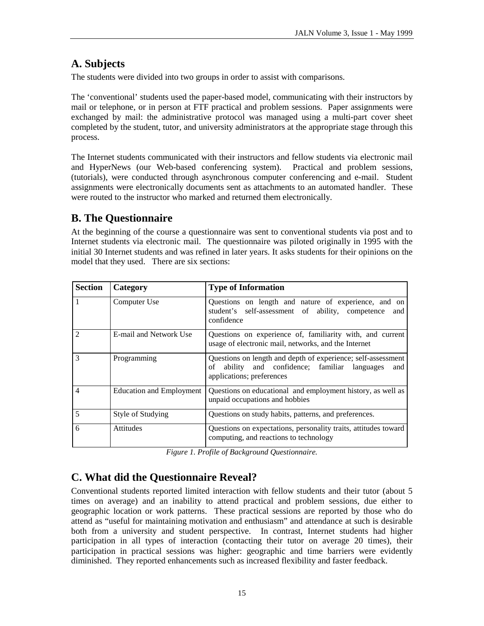# **A. Subjects**

The students were divided into two groups in order to assist with comparisons.

The 'conventional' students used the paper-based model, communicating with their instructors by mail or telephone, or in person at FTF practical and problem sessions. Paper assignments were exchanged by mail: the administrative protocol was managed using a multi-part cover sheet completed by the student, tutor, and university administrators at the appropriate stage through this process.

The Internet students communicated with their instructors and fellow students via electronic mail and HyperNews (our Web-based conferencing system). Practical and problem sessions, (tutorials), were conducted through asynchronous computer conferencing and e-mail. Student assignments were electronically documents sent as attachments to an automated handler. These were routed to the instructor who marked and returned them electronically.

# **B. The Questionnaire**

At the beginning of the course a questionnaire was sent to conventional students via post and to Internet students via electronic mail. The questionnaire was piloted originally in 1995 with the initial 30 Internet students and was refined in later years. It asks students for their opinions on the model that they used. There are six sections:

| <b>Section</b> | Category                 | <b>Type of Information</b>                                                                                                                           |
|----------------|--------------------------|------------------------------------------------------------------------------------------------------------------------------------------------------|
|                | Computer Use             | Questions on length and nature of experience, and on<br>student's self-assessment of ability, competence<br>and<br>confidence                        |
| $\mathfrak{D}$ | E-mail and Network Use   | Questions on experience of, familiarity with, and current<br>usage of electronic mail, networks, and the Internet                                    |
| 3              | Programming              | Questions on length and depth of experience; self-assessment<br>ability and confidence; familiar languages<br>of<br>and<br>applications; preferences |
| 4              | Education and Employment | Questions on educational and employment history, as well as<br>unpaid occupations and hobbies                                                        |
| 5              | Style of Studying        | Questions on study habits, patterns, and preferences.                                                                                                |
| 6              | <b>Attitudes</b>         | Questions on expectations, personality traits, attitudes toward<br>computing, and reactions to technology                                            |

*Figure 1. Profile of Background Questionnaire.*

# **C. What did the Questionnaire Reveal?**

Conventional students reported limited interaction with fellow students and their tutor (about 5 times on average) and an inability to attend practical and problem sessions, due either to geographic location or work patterns. These practical sessions are reported by those who do attend as "useful for maintaining motivation and enthusiasm" and attendance at such is desirable both from a university and student perspective. In contrast, Internet students had higher participation in all types of interaction (contacting their tutor on average 20 times), their participation in practical sessions was higher: geographic and time barriers were evidently diminished. They reported enhancements such as increased flexibility and faster feedback.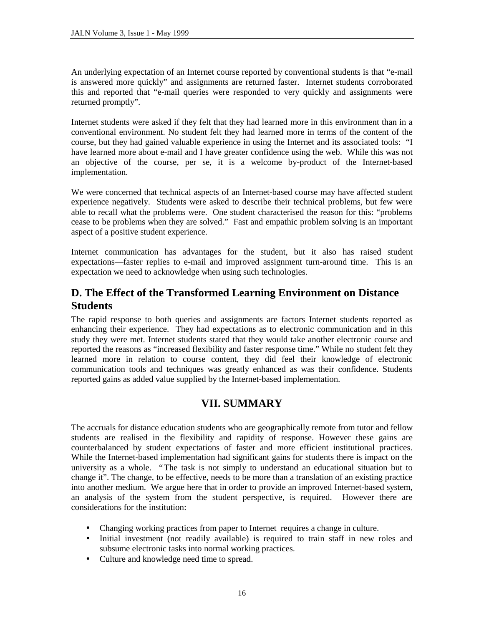An underlying expectation of an Internet course reported by conventional students is that "e-mail is answered more quickly" and assignments are returned faster. Internet students corroborated this and reported that "e-mail queries were responded to very quickly and assignments were returned promptly".

Internet students were asked if they felt that they had learned more in this environment than in a conventional environment. No student felt they had learned more in terms of the content of the course, but they had gained valuable experience in using the Internet and its associated tools: "I have learned more about e-mail and I have greater confidence using the web. While this was not an objective of the course, per se, it is a welcome by-product of the Internet-based implementation.

We were concerned that technical aspects of an Internet-based course may have affected student experience negatively. Students were asked to describe their technical problems, but few were able to recall what the problems were. One student characterised the reason for this: "problems cease to be problems when they are solved." Fast and empathic problem solving is an important aspect of a positive student experience.

Internet communication has advantages for the student, but it also has raised student expectations— faster replies to e-mail and improved assignment turn-around time. This is an expectation we need to acknowledge when using such technologies.

# **D. The Effect of the Transformed Learning Environment on Distance Students**

The rapid response to both queries and assignments are factors Internet students reported as enhancing their experience. They had expectations as to electronic communication and in this study they were met. Internet students stated that they would take another electronic course and reported the reasons as "increased flexibility and faster response time."While no student felt they learned more in relation to course content, they did feel their knowledge of electronic communication tools and techniques was greatly enhanced as was their confidence. Students reported gains as added value supplied by the Internet-based implementation.

# **VII. SUMMARY**

The accruals for distance education students who are geographically remote from tutor and fellow students are realised in the flexibility and rapidity of response. However these gains are counterbalanced by student expectations of faster and more efficient institutional practices. While the Internet-based implementation had significant gains for students there is impact on the university as a whole. "The task is not simply to understand an educational situation but to change it". The change, to be effective, needs to be more than a translation of an existing practice into another medium. We argue here that in order to provide an improved Internet-based system, an analysis of the system from the student perspective, is required. However there are considerations for the institution:

- Changing working practices from paper to Internet requires a change in culture.
- Initial investment (not readily available) is required to train staff in new roles and subsume electronic tasks into normal working practices.
- Culture and knowledge need time to spread.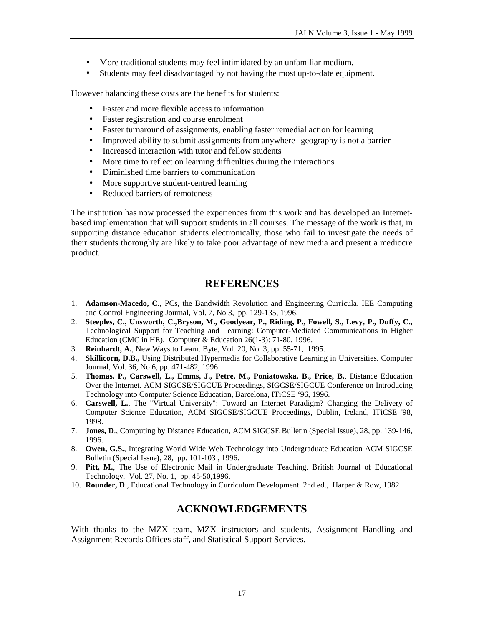- More traditional students may feel intimidated by an unfamiliar medium.
- Students may feel disadvantaged by not having the most up-to-date equipment.

However balancing these costs are the benefits for students:

- Faster and more flexible access to information
- Faster registration and course enrolment
- Faster turnaround of assignments, enabling faster remedial action for learning
- Improved ability to submit assignments from anywhere--geography is not a barrier
- Increased interaction with tutor and fellow students
- More time to reflect on learning difficulties during the interactions
- Diminished time barriers to communication
- More supportive student-centred learning
- Reduced barriers of remoteness

The institution has now processed the experiences from this work and has developed an Internetbased implementation that will support students in all courses. The message of the work is that, in supporting distance education students electronically, those who fail to investigate the needs of their students thoroughly are likely to take poor advantage of new media and present a mediocre product.

# **REFERENCES**

- 1. **Adamson-Macedo, C.**, PCs, the Bandwidth Revolution and Engineering Curricula. IEE Computing and Control Engineering Journal, Vol. 7, No 3, pp. 129-135, 1996.
- 2. **Steeples, C., Unsworth, C.,Bryson, M., Goodyear, P., Riding, P., Fowell, S., Levy, P., Duffy, C.,** Technological Support for Teaching and Learning: Computer-Mediated Communications in Higher Education (CMC in HE), Computer & Education 26(1-3): 71-80, 1996.
- 3. **Reinhardt, A.**, New Ways to Learn. Byte, Vol. 20, No. 3, pp. 55-71, 1995.
- 4. **Skillicorn, D.B.,** Using Distributed Hypermedia for Collaborative Learning in Universities. Computer Journal, Vol. 36, No 6, pp. 471-482, 1996.
- 5. **Thomas, P., Carswell, L., Emms, J., Petre, M., Poniatowska, B., Price, B.**, Distance Education Over the Internet. ACM SIGCSE/SIGCUE Proceedings, SIGCSE/SIGCUE Conference on Introducing Technology into Computer Science Education, Barcelona, ITiCSE '96, 1996.
- 6. **Carswell, L.**, The "Virtual University": Toward an Internet Paradigm? Changing the Delivery of Computer Science Education, ACM SIGCSE/SIGCUE Proceedings, Dublin, Ireland, ITiCSE '98, 1998.
- 7. **Jones, D**., Computing by Distance Education, ACM SIGCSE Bulletin (Special Issue), 28, pp. 139-146, 1996.
- 8. **Owen, G.S.**, Integrating World Wide Web Technology into Undergraduate Education ACM SIGCSE Bulletin (Special Issue**)**, 28, pp. 101-103 , 1996.
- 9. **Pitt, M.**, The Use of Electronic Mail in Undergraduate Teaching. British Journal of Educational Technology, Vol. 27, No. 1, pp. 45-50,1996.
- 10. **Rounder, D**., Educational Technology in Curriculum Development. 2nd ed., Harper & Row, 1982

# **ACKNOWLEDGEMENTS**

With thanks to the MZX team, MZX instructors and students, Assignment Handling and Assignment Records Offices staff, and Statistical Support Services.